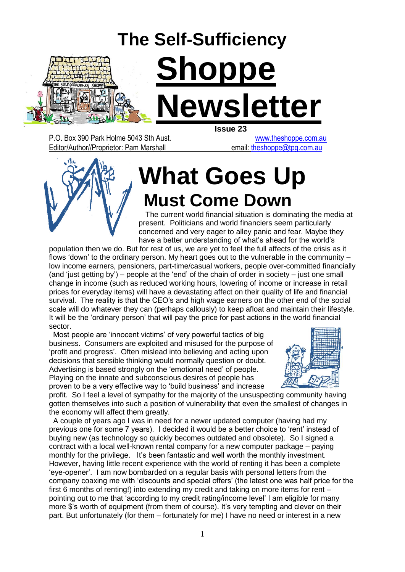

P.O. Box 390 Park Holme 5043 Sth Aust. [www.theshoppe.com.au](http://www.theshoppe.com.au/) Editor/Author//Proprietor: Pam Marshall email: theshoppe@tpg.com.au

# **What Goes Up Must Come Down**

 The current world financial situation is dominating the media at present. Politicians and world financiers seem particularly concerned and very eager to alley panic and fear. Maybe they have a better understanding of what's ahead for the world's

population then we do. But for rest of us, we are yet to feel the full affects of the crisis as it flows "down" to the ordinary person. My heart goes out to the vulnerable in the community – low income earners, pensioners, part-time/casual workers, people over-committed financially (and "just getting by") – people at the "end" of the chain of order in society – just one small change in income (such as reduced working hours, lowering of income or increase in retail prices for everyday items) will have a devastating affect on their quality of life and financial survival. The reality is that the CEO's and high wage earners on the other end of the social scale will do whatever they can (perhaps callously) to keep afloat and maintain their lifestyle. It will be the 'ordinary person' that will pay the price for past actions in the world financial sector.

 Most people are "innocent victims" of very powerful tactics of big business. Consumers are exploited and misused for the purpose of "profit and progress". Often mislead into believing and acting upon decisions that sensible thinking would normally question or doubt. Advertising is based strongly on the "emotional need" of people. Playing on the innate and subconscious desires of people has proven to be a very effective way to "build business" and increase



profit. So I feel a level of sympathy for the majority of the unsuspecting community having gotten themselves into such a position of vulnerability that even the smallest of changes in the economy will affect them greatly.

 A couple of years ago I was in need for a newer updated computer (having had my previous one for some 7 years). I decided it would be a better choice to "rent" instead of buying new (as technology so quickly becomes outdated and obsolete). So I signed a contract with a local well-known rental company for a new computer package – paying monthly for the privilege. It's been fantastic and well worth the monthly investment. However, having little recent experience with the world of renting it has been a complete "eye-opener". I am now bombarded on a regular basis with personal letters from the company coaxing me with "discounts and special offers" (the latest one was half price for the first 6 months of renting!) into extending my credit and taking on more items for rent – pointing out to me that "according to my credit rating/income level" I am eligible for many more \$"s worth of equipment (from them of course). It"s very tempting and clever on their part. But unfortunately (for them – fortunately for me) I have no need or interest in a new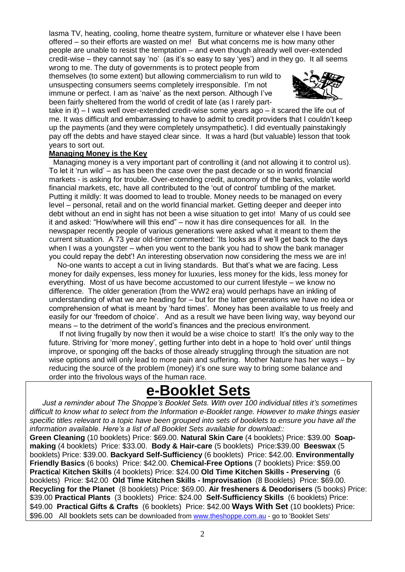lasma TV, heating, cooling, home theatre system, furniture or whatever else I have been offered – so their efforts are wasted on me! But what concerns me is how many other people are unable to resist the temptation – and even though already well over-extended credit-wise – they cannot say 'no' (as it's so easy to say 'yes') and in they go. It all seems wrong to me. The duty of governments is to protect people from

themselves (to some extent) but allowing commercialism to run wild to unsuspecting consumers seems completely irresponsible. I"m not immune or perfect. I am as 'naive' as the next person. Although I've been fairly sheltered from the world of credit of late (as I rarely part-



take in it) – I was well over-extended credit-wise some years ago – it scared the life out of me. It was difficult and embarrassing to have to admit to credit providers that I couldn"t keep up the payments (and they were completely unsympathetic). I did eventually painstakingly pay off the debts and have stayed clear since. It was a hard (but valuable) lesson that took years to sort out.

#### **Managing Money is the Key**

 Managing money is a very important part of controlling it (and not allowing it to control us). To let it "run wild" – as has been the case over the past decade or so in world financial markets - is asking for trouble. Over-extending credit, autonomy of the banks, volatile world financial markets, etc, have all contributed to the "out of control" tumbling of the market. Putting it mildly: It was doomed to lead to trouble. Money needs to be managed on every level – personal, retail and on the world financial market. Getting deeper and deeper into debt without an end in sight has not been a wise situation to get into! Many of us could see it and asked: "How/where will this end" – now it has dire consequences for all. In the newspaper recently people of various generations were asked what it meant to them the current situation. A 73 year old-timer commented: "Its looks as if we"ll get back to the days when I was a youngster – when you went to the bank you had to show the bank manager you could repay the debt"! An interesting observation now considering the mess we are in!

 No-one wants to accept a cut in living standards. But that"s what we are facing. Less money for daily expenses, less money for luxuries, less money for the kids, less money for everything. Most of us have become accustomed to our current lifestyle – we know no difference. The older generation (from the WW2 era) would perhaps have an inkling of understanding of what we are heading for – but for the latter generations we have no idea or comprehension of what is meant by "hard times". Money has been available to us freely and easily for our 'freedom of choice'. And as a result we have been living way, way beyond our means – to the detriment of the world"s finances and the precious environment.

 If not living frugally by now then it would be a wise choice to start! It"s the only way to the future. Striving for 'more money', getting further into debt in a hope to 'hold over' until things improve, or sponging off the backs of those already struggling through the situation are not wise options and will only lead to more pain and suffering. Mother Nature has her ways – by reducing the source of the problem (money) it's one sure way to bring some balance and order into the frivolous ways of the human race.

## **e-Booklet Sets**

 *Just a reminder about The Shoppe's Booklet Sets. With over 100 individual titles it's sometimes difficult to know what to select from the Information e-Booklet range. However to make things easier specific titles relevant to a topic have been grouped into sets of booklets to ensure you have all the information available. Here's a list of all Booklet Sets available for download::* 

**Green Cleaning** (10 booklets) Price: \$69.00. **Natural Skin Care** (4 booklets) Price: \$39.00 **Soapmaking** (4 booklets) Price: \$33.00. **Body & Hair-care** (5 booklets) Price:\$39.00 **Beeswax** (5 booklets) Price: \$39.00. **Backyard Self-Sufficiency** (6 booklets) Price: \$42.00. **Environmentally Friendly Basics** (6 books) Price: \$42.00. **Chemical-Free Options** (7 booklets) Price: \$59.00 **Practica**l **Kitchen Skills** (4 booklets) Price: \$24.00 **Old Time Kitchen Skills - Preserving** (6 booklets) Price: \$42.00 **Old Time Kitchen Skills - Improvisation** (8 Booklets) Price: \$69.00. **Recycling for the Planet** (8 booklets) Price: \$69.00. **Air fresheners & Deodorisers** (5 books) Price: \$39.00 **Practical Plants** (3 booklets) Price: \$24.00 **Self-Sufficiency Skills** (6 booklets) Price: \$49.00 **Practical Gifts & Crafts** (6 booklets) Price: \$42.00 **Ways With Set** (10 booklets) Price: \$96.00 All booklets sets can be downloaded from [www.theshoppe.com.au](http://www.theshoppe.com.au/) - go to 'Booklet Sets'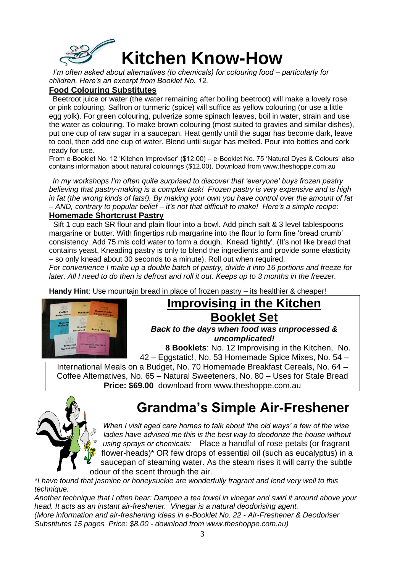

 *I'm often asked about alternatives (to chemicals) for colouring food – particularly for children. Here's an excerpt from Booklet No. 12.* 

#### **Food Colouring Substitutes**

 Beetroot juice or water (the water remaining after boiling beetroot) will make a lovely rose or pink colouring. Saffron or turmeric (spice) will suffice as yellow colouring (or use a little egg yolk). For green colouring, pulverize some spinach leaves, boil in water, strain and use the water as colouring. To make brown colouring (most suited to gravies and similar dishes), put one cup of raw sugar in a saucepan. Heat gently until the sugar has become dark, leave to cool, then add one cup of water. Blend until sugar has melted. Pour into bottles and cork ready for use.

From e-Booklet No. 12 "Kitchen Improviser" (\$12.00) – e-Booklet No. 75 "Natural Dyes & Colours" also contains information about natural colourings (\$12.00). Download from www.theshoppe.com.au

 *In my workshops I'm often quite surprised to discover that 'everyone' buys frozen pastry believing that pastry-making is a complex task! Frozen pastry is very expensive and is high in fat (the wrong kinds of fats!). By making your own you have control over the amount of fat – AND, contrary to popular belief – it's not that difficult to make! Here's a simple recipe:*

#### **Homemade Shortcrust Pastry**

Sift 1 cup each SR flour and plain flour into a bowl. Add pinch salt & 3 level tablespoons margarine or butter. With fingertips rub margarine into the flour to form fine "bread crumb" consistency. Add 75 mls cold water to form a dough. Knead 'lightly'. (It's not like bread that contains yeast. Kneading pastry is only to blend the ingredients and provide some elasticity – so only knead about 30 seconds to a minute). Roll out when required.

*For convenience I make up a double batch of pastry, divide it into 16 portions and freeze for later. All I need to do then is defrost and roll it out. Keeps up to 3 months in the freezer.*

**Handy Hint**: Use mountain bread in place of frozen pastry – its healthier & cheaper!



## **Improvising in the Kitchen Booklet Set**

*Back to the days when food was unprocessed & uncomplicated!* 

 **8 Booklets**: No. 12 Improvising in the Kitchen, No. 42 – Eggstatic!, No. 53 Homemade Spice Mixes, No. 54 –

International Meals on a Budget, No. 70 Homemade Breakfast Cereals, No. 64 – Coffee Alternatives, No. 65 – Natural Sweeteners, No. 80 – Uses for Stale Bread **Price: \$69.00** download from www.theshoppe.com.au



## **Grandma's Simple Air-Freshener**

*When I visit aged care homes to talk about 'the old ways' a few of the wise*  ladies have advised me this is the best way to deodorize the house without *using sprays or chemicals:* Place a handful of rose petals (or fragrant flower-heads)\* OR few drops of essential oil (such as eucalyptus) in a saucepan of steaming water. As the steam rises it will carry the subtle odour of the scent through the air.

*\*I have found that jasmine or honeysuckle are wonderfully fragrant and lend very well to this technique.*

*Another technique that I often hear: Dampen a tea towel in vinegar and swirl it around above your head. It acts as an instant air-freshener. Vinegar is a natural deodorising agent. (More information and air-freshening ideas in e-Booklet No. 22 - Air-Freshener & Deodoriser Substitutes 15 pages Price: \$8.00 - download from www.theshoppe.com.au)*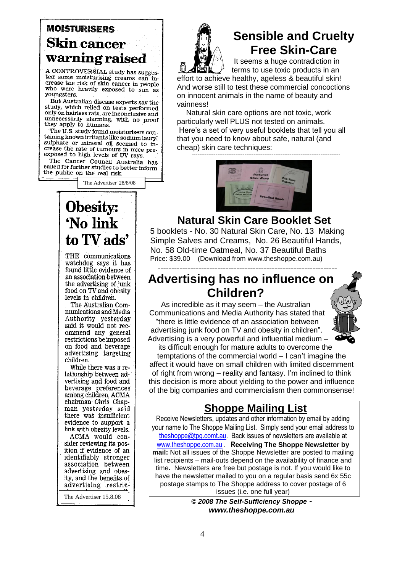### **MOISTURISERS Skin cancer** warning raised

A CONTROVERSIAL study has suggested some moisturising creams can increase the risk of skin cancer in people who were heavily exposed to sun as voungsters.

But Australian disease experts say the study, which relied on tests performed only on hairless rats, are inconclusive and unecessarily alarming, with no proof<br>they apply to humans.

The U.S. study found moisturisers containing known irritants like sodium lauryl sulphate or mineral oil seemed to increase the rate of tumours in mice preexposed to high levels of UV rays.

The Cancer Council Australia has called for further studies to better inform the public on the real risk.

'The Advertiser' 28/8/08

## Obesity: 'No link to TV ads'

THE communications watchdog says it has found little evidence of an association between the advertising of junk food on TV and obesity levels in children.

The Australian Communications and Media Authority yesterday said it would not recommend any general restrictions be imposed on food and beverage advertising targeting children.

While there was a relationship between advertising and food and beverage preferences among children, ACMA chairman Chris Chapman yesterday said there was insufficient evidence to support a link with obesity levels. ACMA would consider reviewing its position if evidence of an identifiably stronger<br>association between advertising and obesity, and the benefits of advertising restrie-

The Advertiser 15.8.08



### **Sensible and Cruelty Free Skin-Care**

It seems a huge contradiction in terms to use toxic products in an

effort to achieve healthy, ageless & beautiful skin! And worse still to test these commercial concoctions on innocent animals in the name of beauty and vainness!

 Natural skin care options are not toxic, work particularly well PLUS not tested on animals. Here"s a set of very useful booklets that tell you all that you need to know about safe, natural (and cheap) skin care techniques:

----------------------------------------------------------------------------------



#### **Natural Skin Care Booklet Set**

5 booklets - No. 30 Natural Skin Care, No. 13 Making Simple Salves and Creams, No. 26 Beautiful Hands, No. 58 Old-time Oatmeal, No. 37 Beautiful Baths Price: \$39.00 (Download from www.theshoppe.com.au) **------------------------------------------------------------------**

**Advertising has no influence on Children?**

As incredible as it may seem – the Australian Communications and Media Authority has stated that "there is little evidence of an association between advertising junk food on TV and obesity in children". Advertising is a very powerful and influential medium – its difficult enough for mature adults to overcome the



temptations of the commercial world – I can"t imagine the affect it would have on small children with limited discernment of right from wrong – reality and fantasy. I"m inclined to think this decision is more about yielding to the power and influence of the big companies and commercialism then commonsense!

### **Shoppe Mailing List**

Receive Newsletters, updates and other information by email by adding your name to The Shoppe Mailing List. Simply send your email address to [theshoppe@tpg.comt.au.](mailto:theshoppe@chariot.net.au) Back issues of newsletters are available at [www.theshoppe.com.au](http://www.theshoppe.com.au/) . **Receiving The Shoppe Newsletter by mail:** Not all issues of the Shoppe Newsletter are posted to mailing list recipients – mail-outs depend on the availability of finance and time**.** Newsletters are free but postage is not. If you would like to have the newsletter mailed to you on a regular basis send 6x 55c postage stamps to The Shoppe address to cover postage of 6 issues (i.e. one full year)

> *© 2008 The Self-Sufficiency Shoppe www.theshoppe.com.au*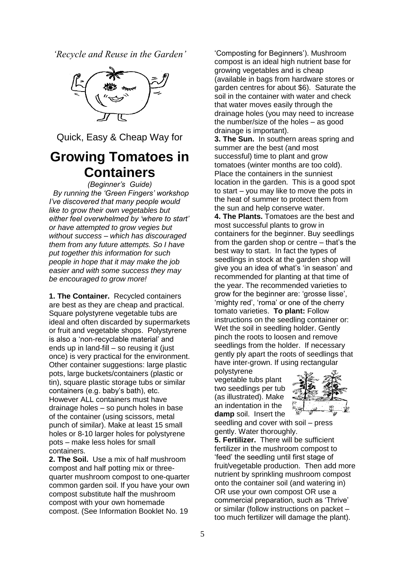*'Recycle and Reuse in the Garden'*



Quick, Easy & Cheap Way for

### **Growing Tomatoes in Containers**

*(Beginner's Guide)*

 *By running the 'Green Fingers' workshop I've discovered that many people would like to grow their own vegetables but either feel overwhelmed by 'where to start' or have attempted to grow vegies but without success – which has discouraged them from any future attempts. So I have put together this information for such people in hope that it may make the job easier and with some success they may be encouraged to grow more!*

**1. The Container.** Recycled containers are best as they are cheap and practical. Square polystyrene vegetable tubs are ideal and often discarded by supermarkets or fruit and vegetable shops. Polystyrene is also a "non-recyclable material" and ends up in land-fill – so reusing it (just once) is very practical for the environment. Other container suggestions: large plastic pots, large buckets/containers (plastic or tin), square plastic storage tubs or similar containers (e.g. baby"s bath), etc. However ALL containers must have drainage holes – so punch holes in base of the container (using scissors, metal punch of similar). Make at least 15 small holes or 8-10 larger holes for polystyrene pots – make less holes for small containers.

**2. The Soil.** Use a mix of half mushroom compost and half potting mix or threequarter mushroom compost to one-quarter common garden soil. If you have your own compost substitute half the mushroom compost with your own homemade compost. (See Information Booklet No. 19

"Composting for Beginners"). Mushroom compost is an ideal high nutrient base for growing vegetables and is cheap (available in bags from hardware stores or garden centres for about \$6). Saturate the soil in the container with water and check that water moves easily through the drainage holes (you may need to increase the number/size of the holes – as good drainage is important).

**3. The Sun.** In southern areas spring and summer are the best (and most successful) time to plant and grow tomatoes (winter months are too cold). Place the containers in the sunniest location in the garden. This is a good spot to start – you may like to move the pots in the heat of summer to protect them from the sun and help conserve water.

**4. The Plants.** Tomatoes are the best and most successful plants to grow in containers for the beginner. Buy seedlings from the garden shop or centre – that"s the best way to start. In fact the types of seedlings in stock at the garden shop will give you an idea of what's 'in season' and recommended for planting at that time of the year. The recommended varieties to grow for the beginner are: "grosse lisse", 'mighty red', 'roma' or one of the cherry tomato varieties. **To plant:** Follow instructions on the seedling container or: Wet the soil in seedling holder. Gently pinch the roots to loosen and remove seedlings from the holder. If necessary gently ply apart the roots of seedlings that have inter-grown. If using rectangular

polystyrene vegetable tubs plant two seedlings per tub (as illustrated). Make an indentation in the **damp** soil. Insert the



seedling and cover with soil – press gently. Water thoroughly.

**5. Fertilizer.** There will be sufficient fertilizer in the mushroom compost to "feed" the seedling until first stage of fruit/vegetable production. Then add more nutrient by sprinkling mushroom compost onto the container soil (and watering in) OR use your own compost OR use a commercial preparation, such as "Thrive" or similar (follow instructions on packet – too much fertilizer will damage the plant).